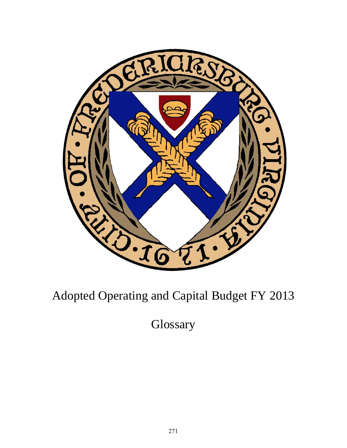

## Adopted Operating and Capital Budget FY 2013

**Glossary**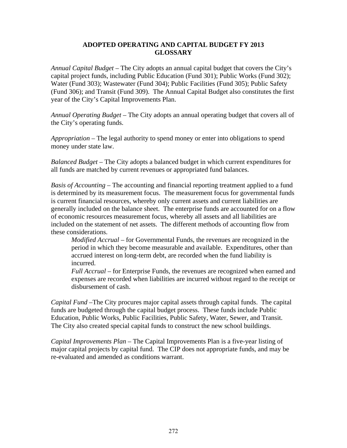## **ADOPTED OPERATING AND CAPITAL BUDGET FY 2013 GLOSSARY**

*Annual Capital Budget –* The City adopts an annual capital budget that covers the City's capital project funds, including Public Education (Fund 301); Public Works (Fund 302); Water (Fund 303); Wastewater (Fund 304); Public Facilities (Fund 305); Public Safety (Fund 306); and Transit (Fund 309). The Annual Capital Budget also constitutes the first year of the City's Capital Improvements Plan.

*Annual Operating Budget –* The City adopts an annual operating budget that covers all of the City's operating funds.

*Appropriation –* The legal authority to spend money or enter into obligations to spend money under state law.

*Balanced Budget –* The City adopts a balanced budget in which current expenditures for all funds are matched by current revenues or appropriated fund balances.

*Basis of Accounting – The accounting and financial reporting treatment applied to a fund* is determined by its measurement focus. The measurement focus for governmental funds is current financial resources, whereby only current assets and current liabilities are generally included on the balance sheet. The enterprise funds are accounted for on a flow of economic resources measurement focus, whereby all assets and all liabilities are included on the statement of net assets. The different methods of accounting flow from these considerations.

*Modified Accrual –* for Governmental Funds, the revenues are recognized in the period in which they become measurable and available. Expenditures, other than accrued interest on long-term debt, are recorded when the fund liability is incurred.

*Full Accrual –* for Enterprise Funds, the revenues are recognized when earned and expenses are recorded when liabilities are incurred without regard to the receipt or disbursement of cash.

*Capital Fund –*The City procures major capital assets through capital funds. The capital funds are budgeted through the capital budget process. These funds include Public Education, Public Works, Public Facilities, Public Safety, Water, Sewer, and Transit. The City also created special capital funds to construct the new school buildings.

*Capital Improvements Plan –* The Capital Improvements Plan is a five-year listing of major capital projects by capital fund. The CIP does not appropriate funds, and may be re-evaluated and amended as conditions warrant.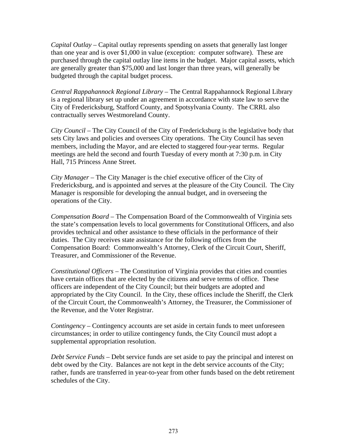*Capital Outlay –* Capital outlay represents spending on assets that generally last longer than one year and is over \$1,000 in value (exception: computer software). These are purchased through the capital outlay line items in the budget. Major capital assets, which are generally greater than \$75,000 and last longer than three years, will generally be budgeted through the capital budget process.

*Central Rappahannock Regional Library –* The Central Rappahannock Regional Library is a regional library set up under an agreement in accordance with state law to serve the City of Fredericksburg, Stafford County, and Spotsylvania County. The CRRL also contractually serves Westmoreland County.

*City Council –* The City Council of the City of Fredericksburg is the legislative body that sets City laws and policies and oversees City operations. The City Council has seven members, including the Mayor, and are elected to staggered four-year terms. Regular meetings are held the second and fourth Tuesday of every month at 7:30 p.m. in City Hall, 715 Princess Anne Street.

*City Manager –* The City Manager is the chief executive officer of the City of Fredericksburg, and is appointed and serves at the pleasure of the City Council. The City Manager is responsible for developing the annual budget, and in overseeing the operations of the City.

*Compensation Board –* The Compensation Board of the Commonwealth of Virginia sets the state's compensation levels to local governments for Constitutional Officers, and also provides technical and other assistance to these officials in the performance of their duties. The City receives state assistance for the following offices from the Compensation Board: Commonwealth's Attorney, Clerk of the Circuit Court, Sheriff, Treasurer, and Commissioner of the Revenue.

*Constitutional Officers –* The Constitution of Virginia provides that cities and counties have certain offices that are elected by the citizens and serve terms of office. These officers are independent of the City Council; but their budgets are adopted and appropriated by the City Council. In the City, these offices include the Sheriff, the Clerk of the Circuit Court, the Commonwealth's Attorney, the Treasurer, the Commissioner of the Revenue, and the Voter Registrar.

*Contingency –* Contingency accounts are set aside in certain funds to meet unforeseen circumstances; in order to utilize contingency funds, the City Council must adopt a supplemental appropriation resolution.

*Debt Service Funds –* Debt service funds are set aside to pay the principal and interest on debt owed by the City. Balances are not kept in the debt service accounts of the City; rather, funds are transferred in year-to-year from other funds based on the debt retirement schedules of the City.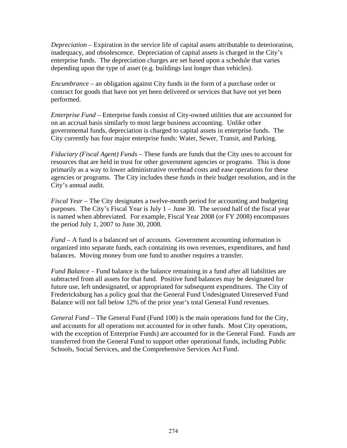*Depreciation –* Expiration in the service life of capital assets attributable to deterioration, inadequacy, and obsolescence. Depreciation of capital assets is charged in the City's enterprise funds. The depreciation charges are set based upon a schedule that varies depending upon the type of asset (e.g. buildings last longer than vehicles).

*Encumbrance –* an obligation against City funds in the form of a purchase order or contract for goods that have not yet been delivered or services that have not yet been performed.

*Enterprise Fund –* Enterprise funds consist of City-owned utilities that are accounted for on an accrual basis similarly to most large business accounting. Unlike other governmental funds, depreciation is charged to capital assets in enterprise funds. The City currently has four major enterprise funds: Water, Sewer, Transit, and Parking.

*Fiduciary (Fiscal Agent) Funds –* These funds are funds that the City uses to account for resources that are held in trust for other government agencies or programs. This is done primarily as a way to lower administrative overhead costs and ease operations for these agencies or programs. The City includes these funds in their budget resolution, and in the City's annual audit.

*Fiscal Year –* The City designates a twelve-month period for accounting and budgeting purposes. The City's Fiscal Year is July 1 – June 30. The second half of the fiscal year is named when abbreviated. For example, Fiscal Year 2008 (or FY 2008) encompasses the period July 1, 2007 to June 30, 2008.

*Fund –* A fund is a balanced set of accounts. Government accounting information is organized into separate funds, each containing its own revenues, expenditures, and fund balances. Moving money from one fund to another requires a transfer.

*Fund Balance –* Fund balance is the balance remaining in a fund after all liabilities are subtracted from all assets for that fund. Positive fund balances may be designated for future use, left undesignated, or appropriated for subsequent expenditures. The City of Fredericksburg has a policy goal that the General Fund Undesignated Unreserved Fund Balance will not fall below 12% of the prior year's total General Fund revenues.

*General Fund –* The General Fund (Fund 100) is the main operations fund for the City, and accounts for all operations not accounted for in other funds. Most City operations, with the exception of Enterprise Funds) are accounted for in the General Fund. Funds are transferred from the General Fund to support other operational funds, including Public Schools, Social Services, and the Comprehensive Services Act Fund.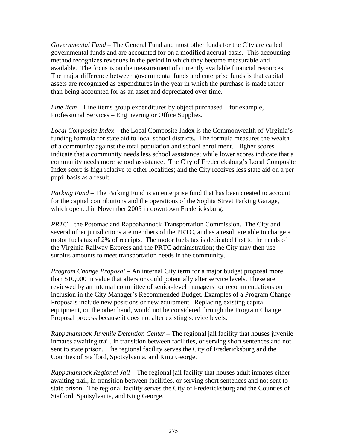*Governmental Fund –* The General Fund and most other funds for the City are called governmental funds and are accounted for on a modified accrual basis. This accounting method recognizes revenues in the period in which they become measurable and available. The focus is on the measurement of currently available financial resources. The major difference between governmental funds and enterprise funds is that capital assets are recognized as expenditures in the year in which the purchase is made rather than being accounted for as an asset and depreciated over time.

*Line Item –* Line items group expenditures by object purchased – for example, Professional Services – Engineering or Office Supplies.

*Local Composite Index –* the Local Composite Index is the Commonwealth of Virginia's funding formula for state aid to local school districts. The formula measures the wealth of a community against the total population and school enrollment. Higher scores indicate that a community needs less school assistance; while lower scores indicate that a community needs more school assistance. The City of Fredericksburg's Local Composite Index score is high relative to other localities; and the City receives less state aid on a per pupil basis as a result.

*Parking Fund –* The Parking Fund is an enterprise fund that has been created to account for the capital contributions and the operations of the Sophia Street Parking Garage, which opened in November 2005 in downtown Fredericksburg.

*PRTC –* the Potomac and Rappahannock Transportation Commission. The City and several other jurisdictions are members of the PRTC, and as a result are able to charge a motor fuels tax of 2% of receipts. The motor fuels tax is dedicated first to the needs of the Virginia Railway Express and the PRTC administration; the City may then use surplus amounts to meet transportation needs in the community.

*Program Change Proposal –* An internal City term for a major budget proposal more than \$10,000 in value that alters or could potentially alter service levels. These are reviewed by an internal committee of senior-level managers for recommendations on inclusion in the City Manager's Recommended Budget. Examples of a Program Change Proposals include new positions or new equipment. Replacing existing capital equipment, on the other hand, would not be considered through the Program Change Proposal process because it does not alter existing service levels.

*Rappahannock Juvenile Detention Center –* The regional jail facility that houses juvenile inmates awaiting trail, in transition between facilities, or serving short sentences and not sent to state prison. The regional facility serves the City of Fredericksburg and the Counties of Stafford, Spotsylvania, and King George.

*Rappahannock Regional Jail –* The regional jail facility that houses adult inmates either awaiting trail, in transition between facilities, or serving short sentences and not sent to state prison. The regional facility serves the City of Fredericksburg and the Counties of Stafford, Spotsylvania, and King George.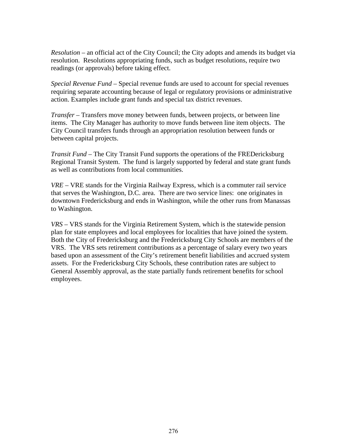*Resolution –* an official act of the City Council; the City adopts and amends its budget via resolution. Resolutions appropriating funds, such as budget resolutions, require two readings (or approvals) before taking effect.

*Special Revenue Fund –* Special revenue funds are used to account for special revenues requiring separate accounting because of legal or regulatory provisions or administrative action. Examples include grant funds and special tax district revenues.

*Transfer –* Transfers move money between funds, between projects, or between line items. The City Manager has authority to move funds between line item objects. The City Council transfers funds through an appropriation resolution between funds or between capital projects.

*Transit Fund –* The City Transit Fund supports the operations of the FREDericksburg Regional Transit System. The fund is largely supported by federal and state grant funds as well as contributions from local communities.

*VRE –* VRE stands for the Virginia Railway Express, which is a commuter rail service that serves the Washington, D.C. area. There are two service lines: one originates in downtown Fredericksburg and ends in Washington, while the other runs from Manassas to Washington.

*VRS –* VRS stands for the Virginia Retirement System, which is the statewide pension plan for state employees and local employees for localities that have joined the system. Both the City of Fredericksburg and the Fredericksburg City Schools are members of the VRS. The VRS sets retirement contributions as a percentage of salary every two years based upon an assessment of the City's retirement benefit liabilities and accrued system assets. For the Fredericksburg City Schools, these contribution rates are subject to General Assembly approval, as the state partially funds retirement benefits for school employees.